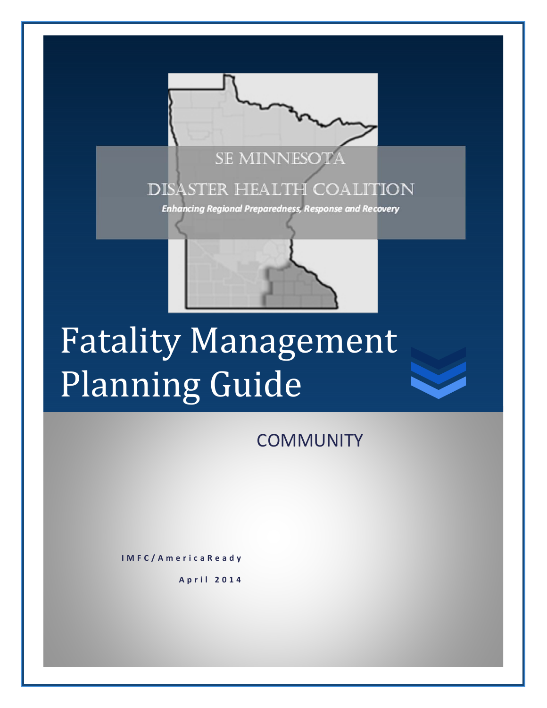

# Fatality Management Planning Guide

**COMMUNITY** 

**IMFC/AmericaReady**

**April 2014**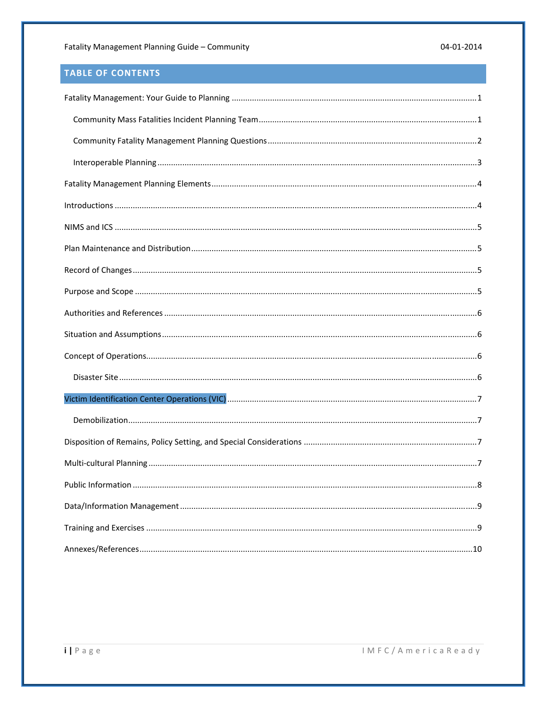## TABLE OF CONTENTS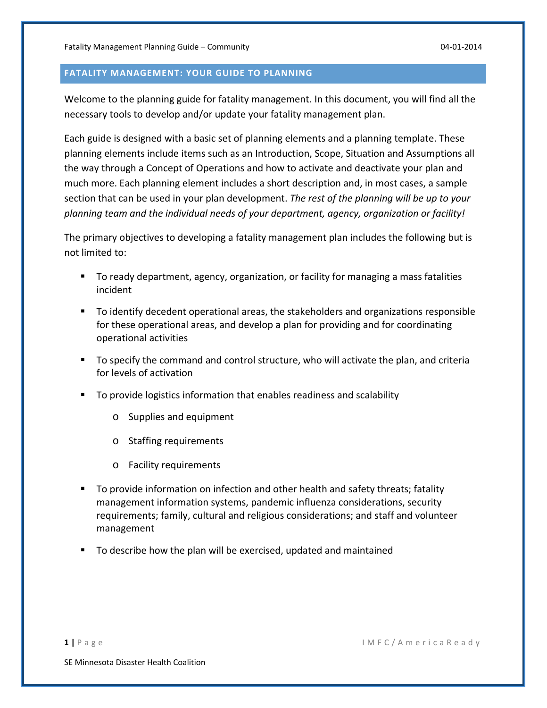#### **FATALITY MANAGEMENT: YOUR GUIDE TO PLANNING**

Welcome to the planning guide for fatality management. In this document, you will find all the necessary tools to develop and/or update your fatality management plan.

Each guide is designed with a basic set of planning elements and a planning template. These planning elements include items such as an Introduction, Scope, Situation and Assumptions all the way through a Concept of Operations and how to activate and deactivate your plan and much more. Each planning element includes a short description and, in most cases, a sample section that can be used in your plan development. *The rest of the planning will be up to your planning team and the individual needs of your department, agency, organization or facility!*

The primary objectives to developing a fatality management plan includes the following but is not limited to:

- To ready department, agency, organization, or facility for managing a mass fatalities incident
- To identify decedent operational areas, the stakeholders and organizations responsible for these operational areas, and develop a plan for providing and for coordinating operational activities
- To specify the command and control structure, who will activate the plan, and criteria for levels of activation
- To provide logistics information that enables readiness and scalability
	- o Supplies and equipment
	- o Staffing requirements
	- o Facility requirements
- To provide information on infection and other health and safety threats; fatality management information systems, pandemic influenza considerations, security requirements; family, cultural and religious considerations; and staff and volunteer management
- To describe how the plan will be exercised, updated and maintained

**1 |** Page IMFC/AmericaReady

SE Minnesota Disaster Health Coalition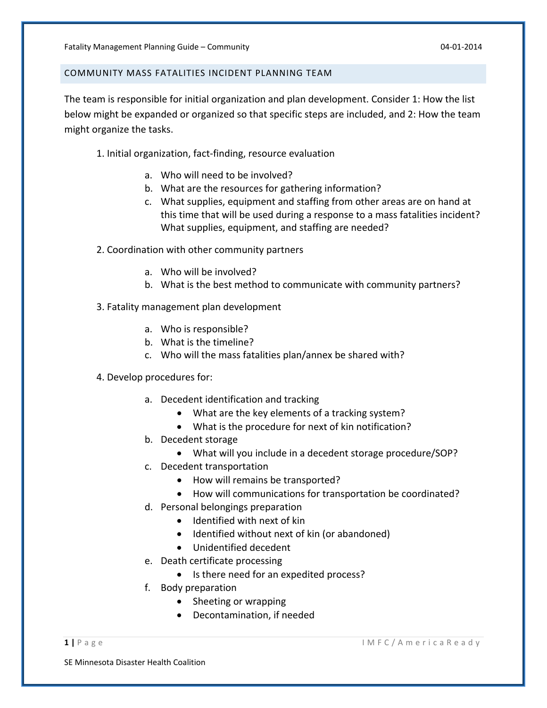#### COMMUNITY MASS FATALITIES INCIDENT PLANNING TEAM

The team is responsible for initial organization and plan development. Consider 1: How the list below might be expanded or organized so that specific steps are included, and 2: How the team might organize the tasks.

- 1. Initial organization, fact‐finding, resource evaluation
	- a. Who will need to be involved?
	- b. What are the resources for gathering information?
	- c. What supplies, equipment and staffing from other areas are on hand at this time that will be used during a response to a mass fatalities incident? What supplies, equipment, and staffing are needed?
- 2. Coordination with other community partners
	- a. Who will be involved?
	- b. What is the best method to communicate with community partners?
- 3. Fatality management plan development
	- a. Who is responsible?
	- b. What is the timeline?
	- c. Who will the mass fatalities plan/annex be shared with?
- 4. Develop procedures for:
	- a. Decedent identification and tracking
		- What are the key elements of a tracking system?
		- What is the procedure for next of kin notification?
	- b. Decedent storage
		- What will you include in a decedent storage procedure/SOP?
	- c. Decedent transportation
		- How will remains be transported?
		- How will communications for transportation be coordinated?
	- d. Personal belongings preparation
		- Identified with next of kin
		- Identified without next of kin (or abandoned)
		- Unidentified decedent
	- e. Death certificate processing
		- Is there need for an expedited process?
	- f. Body preparation
		- Sheeting or wrapping
		- Decontamination, if needed

SE Minnesota Disaster Health Coalition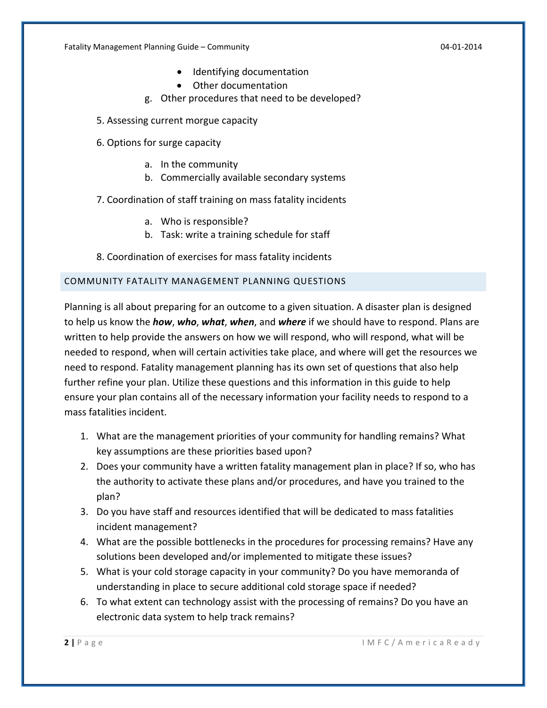Fatality Management Planning Guide – Community *CALC 10***4 CALC 104 CALC 104 CALC 104 CALC 104 CALC 104 CALC 104 CALC 104 CALC 104 CALC 104 CALC 104 CALC 104 CALC 104 CALC 104 CALC 104 CALC 1** 

- Identifying documentation
- Other documentation
- g. Other procedures that need to be developed?
- 5. Assessing current morgue capacity
- 6. Options for surge capacity
	- a. In the community
	- b. Commercially available secondary systems
- 7. Coordination of staff training on mass fatality incidents
	- a. Who is responsible?
	- b. Task: write a training schedule for staff
- 8. Coordination of exercises for mass fatality incidents

#### COMMUNITY FATALITY MANAGEMENT PLANNING QUESTIONS

Planning is all about preparing for an outcome to a given situation. A disaster plan is designed to help us know the *how*, *who*, *what*, *when*, and *where* if we should have to respond. Plans are written to help provide the answers on how we will respond, who will respond, what will be needed to respond, when will certain activities take place, and where will get the resources we need to respond. Fatality management planning has its own set of questions that also help further refine your plan. Utilize these questions and this information in this guide to help ensure your plan contains all of the necessary information your facility needs to respond to a mass fatalities incident.

- 1. What are the management priorities of your community for handling remains? What key assumptions are these priorities based upon?
- 2. Does your community have a written fatality management plan in place? If so, who has the authority to activate these plans and/or procedures, and have you trained to the plan?
- 3. Do you have staff and resources identified that will be dedicated to mass fatalities incident management?
- 4. What are the possible bottlenecks in the procedures for processing remains? Have any solutions been developed and/or implemented to mitigate these issues?
- 5. What is your cold storage capacity in your community? Do you have memoranda of understanding in place to secure additional cold storage space if needed?
- 6. To what extent can technology assist with the processing of remains? Do you have an electronic data system to help track remains?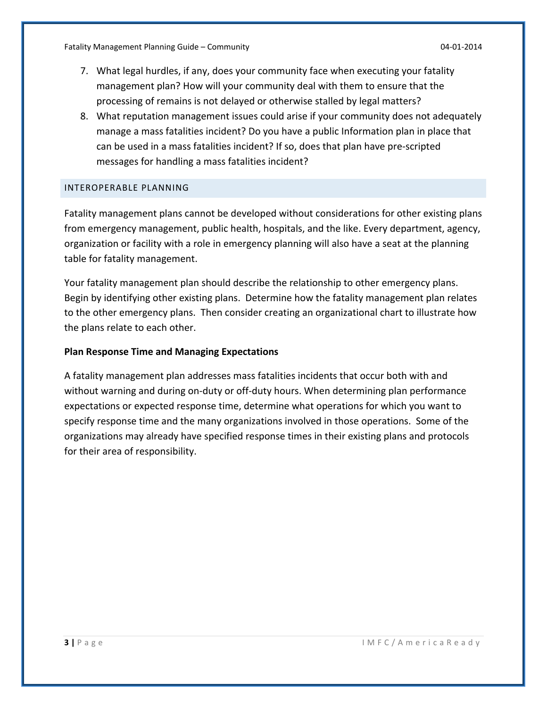Fatality Management Planning Guide – Community *CALC 10***4 CALC 104 CALC 104 CALC 104 CALC 104 CALC 104 CALC 104 CALC 104 CALC 104 CALC 104 CALC 104 CALC 104 CALC 104 CALC 104 CALC 104 CALC 1** 

- 7. What legal hurdles, if any, does your community face when executing your fatality management plan? How will your community deal with them to ensure that the processing of remains is not delayed or otherwise stalled by legal matters?
- 8. What reputation management issues could arise if your community does not adequately manage a mass fatalities incident? Do you have a public Information plan in place that can be used in a mass fatalities incident? If so, does that plan have pre‐scripted messages for handling a mass fatalities incident?

#### INTEROPERABLE PLANNING

Fatality management plans cannot be developed without considerations for other existing plans from emergency management, public health, hospitals, and the like. Every department, agency, organization or facility with a role in emergency planning will also have a seat at the planning table for fatality management.

Your fatality management plan should describe the relationship to other emergency plans. Begin by identifying other existing plans. Determine how the fatality management plan relates to the other emergency plans. Then consider creating an organizational chart to illustrate how the plans relate to each other.

#### **Plan Response Time and Managing Expectations**

A fatality management plan addresses mass fatalities incidents that occur both with and without warning and during on-duty or off-duty hours. When determining plan performance expectations or expected response time, determine what operations for which you want to specify response time and the many organizations involved in those operations. Some of the organizations may already have specified response times in their existing plans and protocols for their area of responsibility.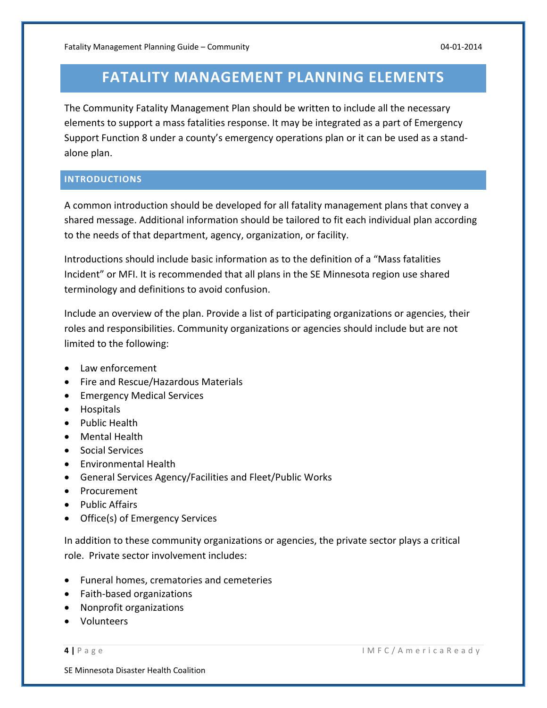# **FATALITY MANAGEMENT PLANNING ELEMENTS**

The Community Fatality Management Plan should be written to include all the necessary elements to support a mass fatalities response. It may be integrated as a part of Emergency Support Function 8 under a county's emergency operations plan or it can be used as a stand‐ alone plan.

#### **INTRODUCTIONS**

A common introduction should be developed for all fatality management plans that convey a shared message. Additional information should be tailored to fit each individual plan according to the needs of that department, agency, organization, or facility.

Introductions should include basic information as to the definition of a "Mass fatalities Incident" or MFI. It is recommended that all plans in the SE Minnesota region use shared terminology and definitions to avoid confusion.

Include an overview of the plan. Provide a list of participating organizations or agencies, their roles and responsibilities. Community organizations or agencies should include but are not limited to the following:

- Law enforcement
- Fire and Rescue/Hazardous Materials
- Emergency Medical Services
- **•** Hospitals
- Public Health
- Mental Health
- Social Services
- Environmental Health
- General Services Agency/Facilities and Fleet/Public Works
- Procurement
- Public Affairs
- Office(s) of Emergency Services

In addition to these community organizations or agencies, the private sector plays a critical role. Private sector involvement includes:

- Funeral homes, crematories and cemeteries
- Faith-based organizations
- Nonprofit organizations
- Volunteers

SE Minnesota Disaster Health Coalition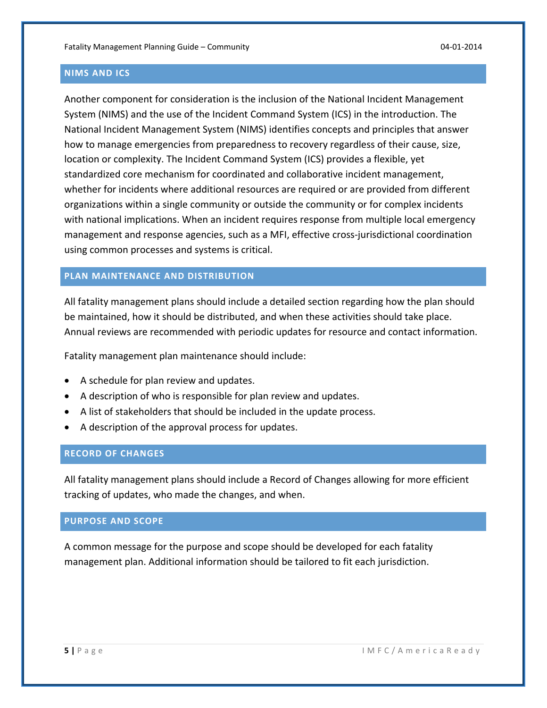#### **NIMS AND ICS**

Another component for consideration is the inclusion of the National Incident Management System (NIMS) and the use of the Incident Command System (ICS) in the introduction. The National Incident Management System (NIMS) identifies concepts and principles that answer how to manage emergencies from preparedness to recovery regardless of their cause, size, location or complexity. The Incident Command System (ICS) provides a flexible, yet standardized core mechanism for coordinated and collaborative incident management, whether for incidents where additional resources are required or are provided from different organizations within a single community or outside the community or for complex incidents with national implications. When an incident requires response from multiple local emergency management and response agencies, such as a MFI, effective cross‐jurisdictional coordination using common processes and systems is critical.

## **PLAN MAINTENANCE AND DISTRIBUTION**

All fatality management plans should include a detailed section regarding how the plan should be maintained, how it should be distributed, and when these activities should take place. Annual reviews are recommended with periodic updates for resource and contact information.

Fatality management plan maintenance should include:

- A schedule for plan review and updates.
- A description of who is responsible for plan review and updates.
- A list of stakeholders that should be included in the update process.
- A description of the approval process for updates.

#### **RECORD OF CHANGES**

All fatality management plans should include a Record of Changes allowing for more efficient tracking of updates, who made the changes, and when.

#### **PURPOSE AND SCOPE**

A common message for the purpose and scope should be developed for each fatality management plan. Additional information should be tailored to fit each jurisdiction.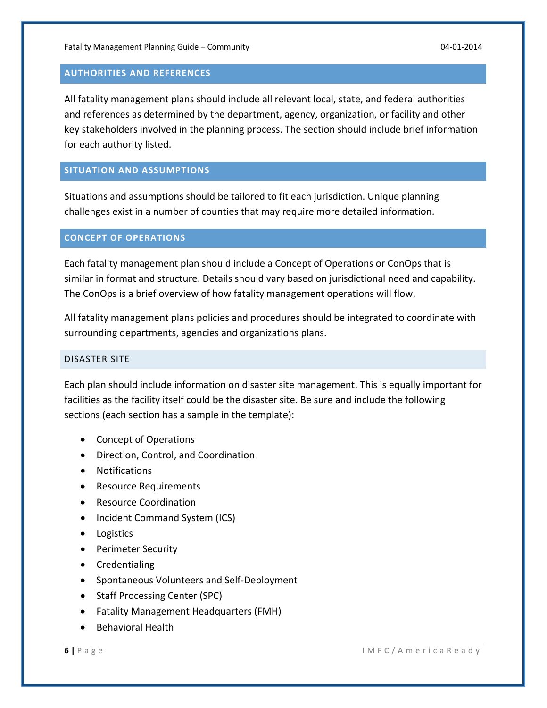#### **AUTHORITIES AND REFERENCES**

All fatality management plans should include all relevant local, state, and federal authorities and references as determined by the department, agency, organization, or facility and other key stakeholders involved in the planning process. The section should include brief information for each authority listed.

#### **SITUATION AND ASSUMPTIONS**

Situations and assumptions should be tailored to fit each jurisdiction. Unique planning challenges exist in a number of counties that may require more detailed information.

#### **CONCEPT OF OPERATIONS**

Each fatality management plan should include a Concept of Operations or ConOps that is similar in format and structure. Details should vary based on jurisdictional need and capability. The ConOps is a brief overview of how fatality management operations will flow.

All fatality management plans policies and procedures should be integrated to coordinate with surrounding departments, agencies and organizations plans.

#### DISASTER SITE

Each plan should include information on disaster site management. This is equally important for facilities as the facility itself could be the disaster site. Be sure and include the following sections (each section has a sample in the template):

- Concept of Operations
- Direction, Control, and Coordination
- Notifications
- Resource Requirements
- Resource Coordination
- Incident Command System (ICS)
- Logistics
- Perimeter Security
- Credentialing
- Spontaneous Volunteers and Self-Deployment
- Staff Processing Center (SPC)
- Fatality Management Headquarters (FMH)
- Behavioral Health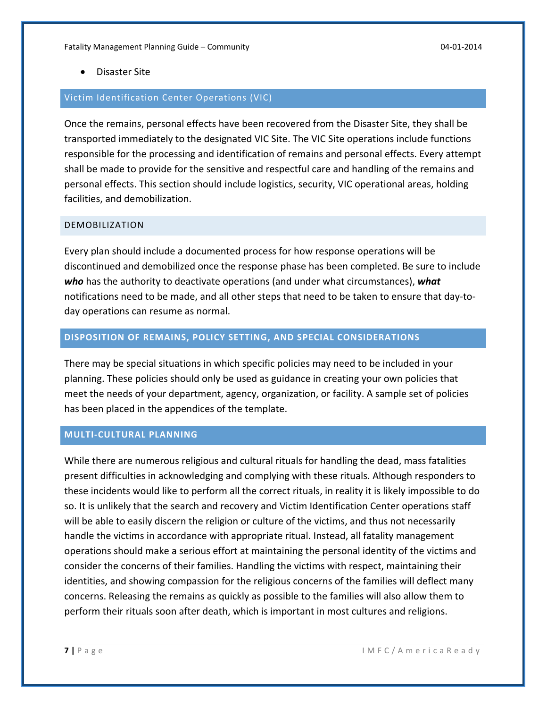Disaster Site

#### Victim Identification Center Operations (VIC)

Once the remains, personal effects have been recovered from the Disaster Site, they shall be transported immediately to the designated VIC Site. The VIC Site operations include functions responsible for the processing and identification of remains and personal effects. Every attempt shall be made to provide for the sensitive and respectful care and handling of the remains and personal effects. This section should include logistics, security, VIC operational areas, holding facilities, and demobilization.

#### DEMOBILIZATION

Every plan should include a documented process for how response operations will be discontinued and demobilized once the response phase has been completed. Be sure to include *who* has the authority to deactivate operations (and under what circumstances), *what* notifications need to be made, and all other steps that need to be taken to ensure that day-today operations can resume as normal.

#### **DISPOSITION OF REMAINS, POLICY SETTING, AND SPECIAL CONSIDERATIONS**

There may be special situations in which specific policies may need to be included in your planning. These policies should only be used as guidance in creating your own policies that meet the needs of your department, agency, organization, or facility. A sample set of policies has been placed in the appendices of the template.

#### **MULTI‐CULTURAL PLANNING**

While there are numerous religious and cultural rituals for handling the dead, mass fatalities present difficulties in acknowledging and complying with these rituals. Although responders to these incidents would like to perform all the correct rituals, in reality it is likely impossible to do so. It is unlikely that the search and recovery and Victim Identification Center operations staff will be able to easily discern the religion or culture of the victims, and thus not necessarily handle the victims in accordance with appropriate ritual. Instead, all fatality management operations should make a serious effort at maintaining the personal identity of the victims and consider the concerns of their families. Handling the victims with respect, maintaining their identities, and showing compassion for the religious concerns of the families will deflect many concerns. Releasing the remains as quickly as possible to the families will also allow them to perform their rituals soon after death, which is important in most cultures and religions.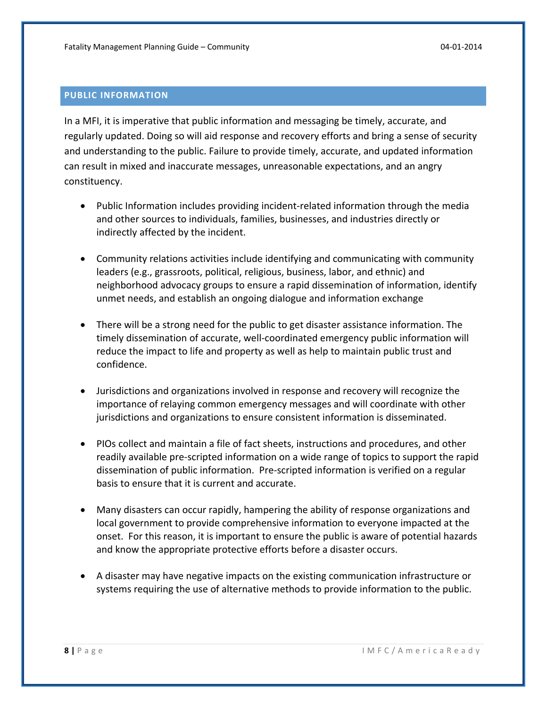#### **PUBLIC INFORMATION**

In a MFI, it is imperative that public information and messaging be timely, accurate, and regularly updated. Doing so will aid response and recovery efforts and bring a sense of security and understanding to the public. Failure to provide timely, accurate, and updated information can result in mixed and inaccurate messages, unreasonable expectations, and an angry constituency.

- Public Information includes providing incident-related information through the media and other sources to individuals, families, businesses, and industries directly or indirectly affected by the incident.
- Community relations activities include identifying and communicating with community leaders (e.g., grassroots, political, religious, business, labor, and ethnic) and neighborhood advocacy groups to ensure a rapid dissemination of information, identify unmet needs, and establish an ongoing dialogue and information exchange
- There will be a strong need for the public to get disaster assistance information. The timely dissemination of accurate, well‐coordinated emergency public information will reduce the impact to life and property as well as help to maintain public trust and confidence.
- Jurisdictions and organizations involved in response and recovery will recognize the importance of relaying common emergency messages and will coordinate with other jurisdictions and organizations to ensure consistent information is disseminated.
- PIOs collect and maintain a file of fact sheets, instructions and procedures, and other readily available pre‐scripted information on a wide range of topics to support the rapid dissemination of public information. Pre‐scripted information is verified on a regular basis to ensure that it is current and accurate.
- Many disasters can occur rapidly, hampering the ability of response organizations and local government to provide comprehensive information to everyone impacted at the onset. For this reason, it is important to ensure the public is aware of potential hazards and know the appropriate protective efforts before a disaster occurs.
- A disaster may have negative impacts on the existing communication infrastructure or systems requiring the use of alternative methods to provide information to the public.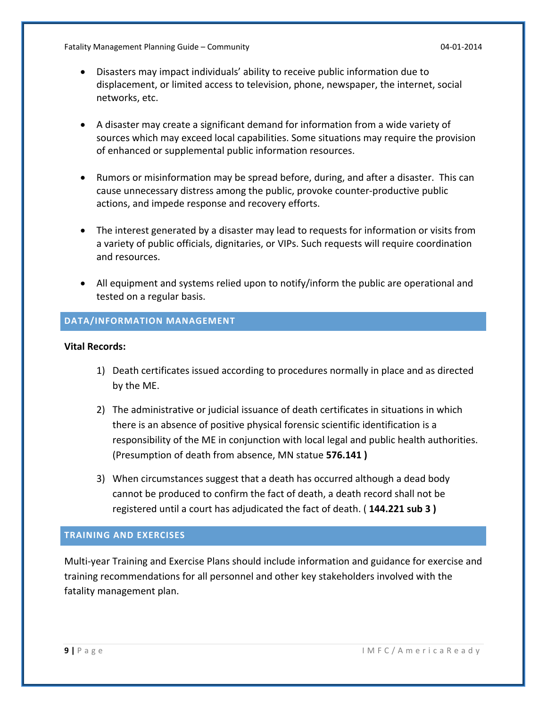Fatality Management Planning Guide – Community 04‐01‐2014

- Disasters may impact individuals' ability to receive public information due to displacement, or limited access to television, phone, newspaper, the internet, social networks, etc.
- A disaster may create a significant demand for information from a wide variety of sources which may exceed local capabilities. Some situations may require the provision of enhanced or supplemental public information resources.
- Rumors or misinformation may be spread before, during, and after a disaster. This can cause unnecessary distress among the public, provoke counter‐productive public actions, and impede response and recovery efforts.
- The interest generated by a disaster may lead to requests for information or visits from a variety of public officials, dignitaries, or VIPs. Such requests will require coordination and resources.
- All equipment and systems relied upon to notify/inform the public are operational and tested on a regular basis.

#### **DATA/INFORMATION MANAGEMENT**

#### **Vital Records:**

- 1) Death certificates issued according to procedures normally in place and as directed by the ME.
- 2) The administrative or judicial issuance of death certificates in situations in which there is an absence of positive physical forensic scientific identification is a responsibility of the ME in conjunction with local legal and public health authorities. (Presumption of death from absence, MN statue **576.141 )**
- 3) When circumstances suggest that a death has occurred although a dead body cannot be produced to confirm the fact of death, a death record shall not be registered until a court has adjudicated the fact of death. ( **144.221 sub 3 )**

#### **TRAINING AND EXERCISES**

Multi‐year Training and Exercise Plans should include information and guidance for exercise and training recommendations for all personnel and other key stakeholders involved with the fatality management plan.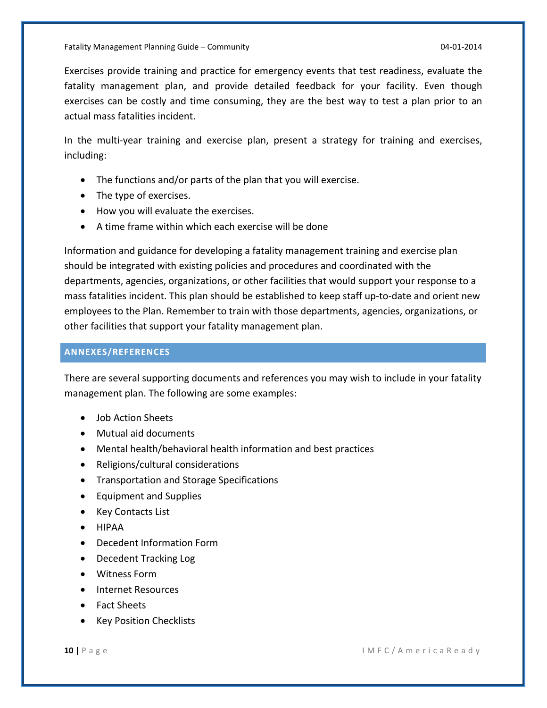Exercises provide training and practice for emergency events that test readiness, evaluate the fatality management plan, and provide detailed feedback for your facility. Even though exercises can be costly and time consuming, they are the best way to test a plan prior to an actual mass fatalities incident.

In the multi-year training and exercise plan, present a strategy for training and exercises, including:

- The functions and/or parts of the plan that you will exercise.
- The type of exercises.
- How you will evaluate the exercises.
- A time frame within which each exercise will be done

Information and guidance for developing a fatality management training and exercise plan should be integrated with existing policies and procedures and coordinated with the departments, agencies, organizations, or other facilities that would support your response to a mass fatalities incident. This plan should be established to keep staff up‐to‐date and orient new employees to the Plan. Remember to train with those departments, agencies, organizations, or other facilities that support your fatality management plan.

#### **ANNEXES/REFERENCES**

There are several supporting documents and references you may wish to include in your fatality management plan. The following are some examples:

- Job Action Sheets
- Mutual aid documents
- Mental health/behavioral health information and best practices
- Religions/cultural considerations
- **•** Transportation and Storage Specifications
- Equipment and Supplies
- Key Contacts List
- **•** HIPAA
- Decedent Information Form
- Decedent Tracking Log
- Witness Form
- Internet Resources
- Fact Sheets
- Key Position Checklists